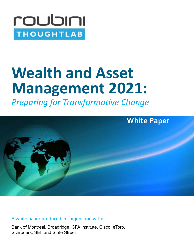

# **Wealth and Asset Management 2021:**

*Preparing for Transformative Change*



A white paper produced in conjunction with:

Bank of Montreal, Broadridge, CFA Institute, Cisco, eToro, Schroders, SEI, and State Street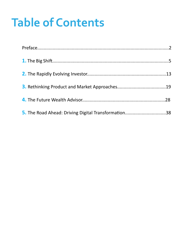# **Table of Contents**

| 5. The Road Ahead: Driving Digital Transformation38 |  |
|-----------------------------------------------------|--|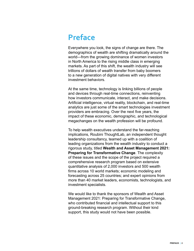## **Preface**

Everywhere you look, the signs of change are there. The demographics of wealth are shifting dramatically around the world—from the growing dominance of women investors in North America to the rising middle class in emerging markets. As part of this shift, the wealth industry will see trillions of dollars of wealth transfer from baby boomers to a new generation of digital natives with very different investment behaviors.

At the same time, technology is linking billions of people and devices through real-time connections, reinventing how investors communicate, interact, and make decisions. Artificial intelligence, virtual reality, blockchain, and real-time analytics are just some of the smart technologies investment providers are embracing. Over the next five years, the impact of these economic, demographic, and technological megachanges on the wealth profession will be profound.

To help wealth executives understand the far-reaching implications, Roubini ThoughtLab, an independent thought leadership consultancy, teamed up with a coalition of leading organizations from the wealth industry to conduct a rigorous study, titled **Wealth and Asset Management 2021: Preparing for Transformative Change**. The complexity of these issues and the scope of the project required a comprehensive research program based on extensive quantitative analysis of 2,000 investors and 500 wealth firms across 10 world markets; economic modeling and forecasting across 25 countries; and expert opinions from more than 40 market leaders, economists, technologists, and investment specialists.

We would like to thank the sponsors of Wealth and Asset Management 2021: Preparing for Transformative Change, who contributed financial and intellectual support to this ground-breaking research program. Without their kind support, this study would not have been possible.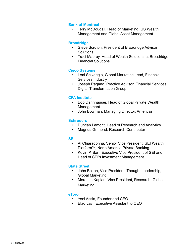#### **Bank of Montreal**

• Terry McDougall, Head of Marketing, US Wealth Management and Global Asset Management

#### **Broadridge**

- Steve Scruton, President of Broadridge Advisor **Solutions**
- Traci Mabrey, Head of Wealth Solutions at Broadridge Financial Solutions

#### **Cisco Systems**

- Leni Selvaggio, Global Marketing Lead, Financial Services Industry
- Joseph Pagano, Practice Advisor, Financial Services Digital Transformation Group

#### **CFA Institute**

- Bob Dannhauser, Head of Global Private Wealth **Management**
- John Bowman, Managing Director, Americas

#### **Schroders**

- Duncan Lamont, Head of Research and Analytics
- Magnus Grimond, Research Contributor

#### **SEI**

- Al Chiaradonna, Senior Vice President, SEI Wealth Platform<sup>SM</sup>, North America Private Banking
- Kevin P. Barr, Executive Vice President of SEI and Head of SEI's Investment Management

#### **State Street**

- John Bolton, Vice President, Thought Leadership, Global Marketing
- Meredith Kaplan, Vice President, Research, Global Marketing

#### **eToro**

- Yoni Assia, Founder and CEO
- Elad Lavi, Executive Assistant to CEO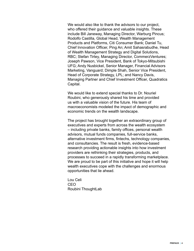We would also like to thank the advisors to our project, who offered their guidance and valuable insights. These include Bill Janeway, Managing Director, Warburg Pincus; Rodolfo Castilla, Global Head, Wealth Management Products and Platforms, Citi Consumer Bank; Daniel Tu, Chief Innovation Officer, Ping An; Amit Sahasrabudhe, Head of Wealth Management Strategy and Digital Solutions, RBC; Stefan Tirtey, Managing Director, CommerzVentures; Joseph Pawson, Vice President, Bank of Tokyo-Mitsubishi UFG; Andy Nusbickel, Senior Manager, Financial Advisors Marketing, Vanguard; Dimple Shah, Senior Vice President, Head of Corporate Strategy, LPL; and Nancy Davis, Managing Partner and Chief Investment Officer, Quadratics Capital.

We would like to extend special thanks to Dr. Nouriel Roubini, who generously shared his time and provided us with a valuable vision of the future. His team of macroeconomists modeled the impact of demographic and economic trends on the wealth landscape.

The project has brought together an extraordinary group of executives and experts from across the wealth ecosystem – including private banks, family offices, personal wealth advisors, mutual funds companies, full-service banks, alternative investment firms, fintechs, technology companies, and consultancies. The result is fresh, evidence-based research providing actionable insights into how investment providers are rethinking their strategies, products, and processes to succeed in a rapidly transforming marketplace. We are proud to be part of this initiative and hope it will help wealth executives cope with the challenges and enormous opportunities that lie ahead.

Lou Celi CEO Roubini ThoughtLab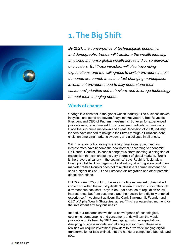

## **1. The Big Shift**

*By 2021, the convergence of technological, economic, and demographic trends will transform the wealth industry, unlocking immense global wealth across a diverse universe of investors. But these investors will also have rising expectations, and the willingness to switch providers if their demands are unmet. In such a fast-changing marketplace, investment providers need to fully understand their customers' priorities and behaviors, and leverage technology to meet their changing needs.*

#### **Winds of change**

Change is a constant in the global wealth industry. "The business moves in cycles, and some are severe," says market veteran, Bob Reynolds, President and CEO of Putnam Investments. But even for experienced professionals, recent market turns have been particularly tumultuous. Since the sub-prime meltdown and Great Recession of 2008, industry leaders have needed to navigate their firms through a Eurozone debt crisis, an emerging market slowdown, and a collapse in oil prices.

With monetary policy losing its efficacy, "mediocre growth and low interest rates have become the new normal," according to economist Dr. Nouriel Roubini. He sees a dangerous storm looming: a rising tide of nationalism that can shake the very bedrock of global markets. "Brexit is the proverbial canary in the coalmine," says Roubini, "It signals a broad populist backlash against globalization, labor migration, and open markets." While Roubini does not think this is a "Lehman moment," he sees a higher risk of EU and Eurozone disintegration and other potential global disruptions.

But Dirk Klee, COO of UBS, believes the biggest market upheaval will come from within the industry itself. "The wealth sector is going through a tremendous, fast shift," says Klee, "not because of regulation or low interest rates, but from customers and their desire for a digitally enabled experience." Investment advisors like Clark Blackman II, Founder and CEO of Alpha Wealth Strategies, agree: "This is a watershed moment for the investment advisory business."

Indeed, our research shows that a convergence of technological, economic, demographic and consumer trends will turn the wealth profession on its head by 2021, reshaping customer expectations, disrupting business models, and altering advisor roles. These new realities will require investment providers to drive wide-ranging digital transformation or face extinction at the hands of competitors both old and new.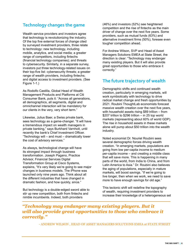#### **Technology changes the game**

Wealth service providers and investors agree that technology is revolutionizing the industry. Of the top five external forces of change cited by surveyed investment providers, three relate to technology: new technology, including mobile, analytics, and social media; a greater range of competitors, including fintechs (financial technology companies); and threats to cybersecurity. Similarly, in a separate survey, investors put three technology-related issues on their top-five list: cybersecurity threats; a greater range of wealth providers, including fintechs; and digital access to investment providers. (See Figure 1-1.)

As Rodolfo Castilla, Global Head of Wealth Management Products and Platforms at Citi Consumer Bank, puts it: "Across all generations, all demographics, all segments, digital and omnichannel interaction will be mandatory for our clients in the very, very short term."

Likewise, Julius Baer, a Swiss private bank, sees technology as a game-changer. "It will have a tremendous impact on wealth managers in private banking," says Burkhard Varnholt, until recently the bank's Chief Investment Officer. "Technology will – and must – dramatically lower the cost of advisory services."

As always, technological change will have its strongest impact through business transformation. Joseph Pagano, Practice Advisor, Financial Services Digital Transformation Group at Cisco Systems, explains, "It's very likely we're going to see major changes in business models. The iPhone was launched only nine years ago. Think about all the different industries that have changed in dramatic fashion, and how quickly, since."

But technology is a double-edged sword able to stir up new competition, both from fintechs and nimble incumbents. Indeed, both providers

(46%) and investors (52%) see heightened competition and the rise of fintechs as the main driver of change over the next five years. Some providers, such as mutual funds (63%) and alternative investment firms (50%), foresee even tougher competition ahead.

For Andrew Wilson, SVP and Head of Asset Managers Solutions EMEA at State Street, the direction is clear: "Technology may endanger many existing players. But it will also provide great opportunities to those who embrace it correctly."

#### **The future trajectory of wealth**

Demographic shifts and continued wealth creation, particularly in emerging markets, will work symbiotically with technology to drive radical market change and fresh opportunities by 2021. Roubini ThoughtLab economists forecast massive wealth creation over the next five years, with household assets rising \$89 trillion – from \$207 trillion to \$296 trillion – in 25 top world markets (representing about 60% of world GDP). The rise in household assets in these markets alone will pump about \$50 trillion into the wealth industry.

Noted economist Dr. Nouriel Roubini sees several demographic forces driving wealth creation. "In emerging markets, populations are going from low per-capita income to medium per-capita income – and creating a middle class that will save more. This is happening in many parts of the world, from India to China, and from Latin America to Asia." Dr. Roubini also believes the aging of populations, especially in mature markets, will boost savings. "If we're going to live longer, then when we work, we need to save more to have enough savings for old age."

This tectonic shift will redefine the topography of wealth, requiring investment providers to increase their knowledge of a heterogeneous set

#### *"Technology may endanger many existing players. But it will also provide great opportunities to those who embrace it correctly."*

- ANDREW WILSON , HEAD OF ASSET MANAGERS SOLUTIONS EMEA at STATE STREET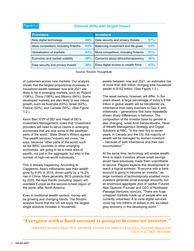#### Figure 1-1

#### **External shifts with largest impact**

| <b>Providers</b>                     |     | <b>Investors</b>                     |            |
|--------------------------------------|-----|--------------------------------------|------------|
| New digital technology               | 49% | Data security and privacy threats    | 57%        |
| More competitors, including fintechs | 43% | Balancing investment and life goals  | 53%        |
| Globalization of markets             | 43% | More competitors, including fintechs | 51%        |
| Economic and market volatility       | 38% | Concerns about ethics/transparency   | <b>48%</b> |
| Data security and privacy threats    | 38% | Easy digital access to wealth firms  | 47%        |

Source: Roubini ThoughtLab

of customers across new markets. Our analysis shows that the largest proportional increases in household wealth between now and 2021 are likely to be in emerging markets, such as Poland (106%), China (106%) and Mexico (84%). Some developed markets are also likely to see robust growth, such as Australia (83%), Israel (62%), France (52%), and Canada (50%). (See Figure 1-2.)

Kevin Barr, EVP of SEI and Head of SEI's Investment Management, notes that "investment providers will need to serve clients in emerging economies that are now some of the wealthier parts of the world." State Street's Wilson agrees. The wealth services "industry will move," he says, because "other parts of the world, such as the BRIC countries or other emerging economies, are going to be a mass area of wealth, not just in the aggregate, but also in the number of high-net-worth individuals."

This is already happening: According to Capgemini, Asia's millionaires saw their wealth grow by 9.9% in 2015, driven partly by a 16.2% rise in China. More generally, BCG projects that, by 2020, the Asia Pacific (including Japan) will overtake Europe as the second-richest region of the world, after North America.

Even in traditional wealth centers, money will be growing and changing hands. The Roubini analysis found that the US will enjoy the largest single absolute increase in household

assets between now and 2021, an estimated rise of more than \$44 trillion, bringing total household wealth to \$152 trillion. (See Figure 1-3.)

The asset owners, however, will differ. In the years ahead, a large percentage of today's \$168 trillion in global wealth will be transferred via inheritance from baby boomers to Gen X and millennials – generations that have repeatedly shown sharp differences in behavior. The composition of the investor base by gender is also changing, notes Amit Sahasrabudhe, Head of Wealth Management Strategy and Digital Solutions at RBC: "In the next five to seven years, in Canada and the US, the majority of wealth will be managed by women investors – because of both inheritance and their own accumulation."

At the same time, technology will enable wealth firms to reach investors whose small savings would have previously made them unprofitable to service. Pagano expects this development to reach a logical extreme. "Everyone with a bank account is going to become an investor," as large numbers of technologically enabled microinvestors generate small average amounts, but an enormous aggregate pool of capital. Futurist Alex Tapscott, Founder and CEO of Northwest Passage Ventures, concurs, "There are huge untapped markets made up of people who are currently unbanked. À la carte digital services could tap into trillions of dollars in the so-called gray economy in the developing world."

#### *"Everyone with a bank account is going to become an investor."*

- JOSEPH PAGANO, PRACTICE ADVISOR, FINANCIAL SERVICES DIGITAL TRANSFORMATION GROUP at CISCO SYSTEMS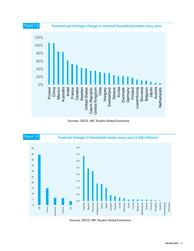

Sources: OECD, IMF, Roubini Global Economics



Sources: OECD, IMF, Roubini Global Economics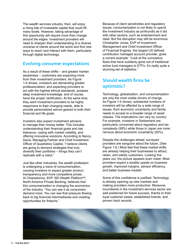The wealth services industry, then, will enjoy a rising tide of investable capital that could lift many boats. However, taking advantage of this opportunity will require more than change around the edges. Investment providers will need to sharpen their understanding of a diverse universe of clients around the world and find new ways to reach and interact with them, particularly through digital technology.

#### **Evolving consumer expectations**

As a result of these shifts – and greater market awareness – customers are expecting more from their investment providers. As Figure 1-4 shows, investors are demanding greater professionalism, and expecting providers to act with the highest ethical standards, possess deep investment knowledge, and of course, have the proper certification. At the same time, they want investment providers to be highly responsive to their changing needs, able to provide personalized advice geared to both their financial and life goals.

Investors also expect investment advisors to manage their money better. This includes understanding their financial goals and risk tolerance, coping with market volatility, and offering innovative solutions. According to Nancy Davis, Managing Partner and Chief Investment Officer of Quadratics Capital, "I believe clients are going to demand strategies that truly diversify their portfolios – things they can't replicate with a robot."

Just like other industries, the wealth profession is undergoing a wave of consumerization, causing investors to expect greater product transparency and more competitive prices. Al Chiaradonna, SVP, SEI Wealth Platform<sup>SM</sup>, North America Private Banking, believes that this consumerization is changing the economics of the industry. "You can see it as consumers demand more. You can see that pressure flowing back to big financial intermediaries and creating opportunities for fintechs."

Because of client sensitivities and regulatory issues, consumerization is not likely to upend the investment industry as profoundly as it did with other sectors, such as entertainment and retail. But the disruption may still be enormous. Christopher Jones, EVP of Investment Management and Chief Investment Officer of Financial Engines, the largest US defined contribution managed account provider, gives a current example: "Look at the cumulative flows that have suddenly gone out of traditional active fund managers to ETFs. It's really quite a stunning set of statistics."

### **Should wealth firms be optimistic?**

Technology, globalization, and consumerization are only the most visible drivers of change. As Figure 1-5 shows, substantial numbers of investors will be affected by a wide range of issues, from economic uncertainty and family needs to access to a broader range of asset classes. The implications can vary by country: For example, investors in Switzerland are particularly concerned about regulatory and tax complexity (58%) while those in Japan are more nervous about economic uncertainty (50%).

Despite the challenges ahead, surveyed providers are sanguine about the future. (See Figure 1-6.) Most feel that these market shifts are already helping their businesses to attract, retain, and satisfy customers. Looking five years out, the picture appears even rosier. Most providers expect a sizable upside on business growth, improved margins, advisor efficiency, and better business models.

Some of this confidence is justified: Technology is already opening up new markets and making providers more productive. Moreover, incumbents in the investment services sector are well positioned for future success, thanks to their loyal customer bases, established brands, and proven track records.

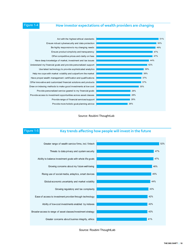#### Figure 1-4

#### **How investor expectations of wealth providers are changing**



Source: Roubini ThoughtLab



Source: Roubini ThoughtLab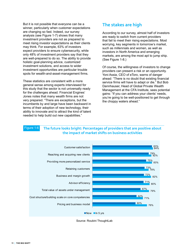But it is not possible that everyone can be a winner, particularly when customer expectations are changing so fast. Indeed, our survey analysis (see Figure 1-7) shows that many investment providers are not as prepared to meet rising investor expectations as their clients may think. For example, 63% of investors expect providers to ensure cybersecurity, while only 48% of investment providers say that they are well-prepared to do so. The ability to provide holistic goal-planning advice, customized investment solutions, and access to wider investment opportunities are particular trouble spots for wealth-and-asset-management firms.

These statistics are consistent with a more general sense among experts interviewed for this study that the sector is not universally ready for the challenges ahead. Financial Engines' Jones notes that many wealth firms are not very prepared. "There are exceptions, but the incumbents by and large have been backward in terms of their adoption of new technology, their ability to innovate and to attract the kind of talent needed to help build out new capabilities."

#### **The stakes are high**

According to our survey, almost half of investors are ready to switch from current providers that fail to meet their rising expectations. Most worrying, key segments in tomorrow's market, such as millennials and women, as well as investors in North America and emerging markets, are among the most apt to jump ship. (See Figure 1-8.)

Of course, the willingness of investors to change providers can present a risk or an opportunity. Yoni Assia, CEO of eToro, warns of danger ahead: "There is no doubt that existing financial service firms will have to adapt or die." But Bob Dannhauser, Head of Global Private Wealth Management at the CFA Institute, sees potential gains: "If you can address your clients' needs, you're going to be well-positioned to get through the choppy waters ahead."

#### **The future looks bright: Percentages of providers that are positive about the impact of market shifts on business activities** Figure 1-6



Source: Roubini ThoughtLab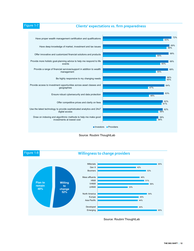#### Figure 1-7 **Clients' expectations vs. firm preparedness**







Source: Roubini ThoughtLab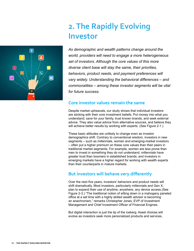# **2. The Rapidly Evolving Investor**



*As demographic and wealth patterns change around the world, providers will need to engage a more heterogeneous set of investors. Although the core values of this more diverse client base will stay the same, their priorities, behaviors, product needs, and payment preferences will vary widely. Understanding the behavioral differences – and commonalities – among these investor segments will be vital for future success.* 

#### **Core investor values remain the same**

Despite market upheavals, our study shows that individual investors are sticking with their core investment beliefs: Put money into what you understand, save for your family, trust known brands, and seek external advice. They also value advice from alternative sources, and believe they will achieve better results by working with experts. (See Figure 2-1.)

These basic attitudes are unlikely to change even as investor demographics shift. Contrary to conventional wisdom, investors in new segments – such as millennials, women and emerging-market investors – often put a higher premium on these core values than their peers in traditional market segments. For example, women are less prone than men to invest in something they do not understand; millennials have greater trust than boomers in established brands; and investors in emerging markets have a higher regard for working with wealth experts than their counterparts in mature markets.

#### **But investors will behave very differently**

Over the next five years, investors' behaviors and product needs will shift dramatically. Most investors, particularly millennials and Gen X, plan to expand their use of anytime, anywhere, any device access.(See Figure 2-3.) "The traditional notion of sitting down in a mahogany paneled office at a set time with a highly skilled wealth advisor is becoming an anachronism," remarks Christopher Jones, EVP of Investment Management and Chief Investment Officer of Financial Engines.

But digital interaction is just the tip of the iceberg. Asset choices will evolve as investors seek more personalized products and services,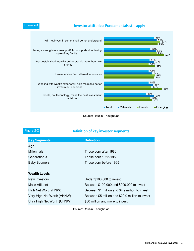#### Figure 2-1 **Investor attitudes: Fundamentals still apply**



Source: Roubini ThoughtLab

| Figure 2-2<br>Definition of key investor segments |                                                  |  |  |  |  |
|---------------------------------------------------|--------------------------------------------------|--|--|--|--|
| <b>Key Segments</b>                               | <b>Definition</b>                                |  |  |  |  |
| Age                                               |                                                  |  |  |  |  |
| <b>Millennials</b>                                | Those born after 1980                            |  |  |  |  |
| Generation X                                      | Those born 1965-1980                             |  |  |  |  |
| <b>Baby Boomers</b>                               | Those born before 1965                           |  |  |  |  |
|                                                   |                                                  |  |  |  |  |
| <b>Wealth Levels</b>                              |                                                  |  |  |  |  |
| New Investors                                     | Under \$100,000 to invest                        |  |  |  |  |
| Mass Affluent                                     | Between \$100,000 and \$999,000 to invest        |  |  |  |  |
| High Net Worth (HNW)                              | Between \$1 million and \$4.9 million to invest  |  |  |  |  |
| Very High Net Worth (VHNW)                        | Between \$5 million and \$29.9 million to invest |  |  |  |  |
| Ultra High Net Worth (UHNW)                       | \$30 million and more to invest                  |  |  |  |  |
|                                                   |                                                  |  |  |  |  |

Source: Roubini ThoughtLab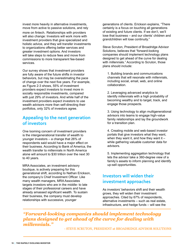invest more heavily in alternative investments, move from active to passive solutions, and rely more on fintech. Relationships with providers will also change: Investors will work more with investment providers that give specialized and holistic advice, and they will transfer investments to organizations offering better services and greater investment options. And investors will take steps to reduce fees and move from commissions to more transparent fee-based services.

Our survey shows that investment providers are fully aware of the future shifts in investor behaviors, but may be overestimating the pace of change over the next five years. For example, as Figure 2-3 shows, 55% of investment providers expect investors to invest more in socially responsible investments, compared with just 29% of investors. And while half of the investment providers expect investors to use wealth advisors more than self-directing their portfolios, only 32% of investors agree.

#### **Appealing to the next generation of investors**

One looming concern of investment providers is the intergenerational transfer of wealth to younger investors – a change that 26% of respondents said would have a major effect on their business. According to Bank of America, the wealth transfer to millennials in North America alone will amount to \$30 trillion over the next 30 to 40 years.

MRA Associates, an investment advisory boutique, is actively preparing for this generational shift, according to Nathan Erickson, the company's Chief Investment Officer. Like many wealth managers, MRA Associates targets investors who are in the middle- to late stages of their professional careers and have already amassed significant wealth. To sustain their business, the company must develop relationships with successive, younger

generations of clients. Erickson explains, "There certainly is a focus on touching all generations of existing and future clients. If we don't, we'll lose that business – and our clients' children and grandchildren will lose continuity."

Steve Scruton, President of Broadridge Advisor Solutions, believes that "forward-looking companies should implement technology plans designed to get ahead of the curve for dealing with millennials." According to Scruton, those plans should include:

1. Building brands and communications channels that will resonate with millennials, including social, email, web, and online collaboration.

2. Leveraging advanced analytics to identify millennials with a high probability of becoming wealthy and to target, track, and engage those prospects.

3. Using technology to align multigenerational advisors into teams to engage high-value family relationships and lay the groundwork for a transition plan.

4. Creating mobile and web-based investor portals that give investors what they want, when they want it, and how they want it  $$ while gathering valuable customer data for advisors.

5. Implementing aggregation technology that lets the advisor take a 360-degree view of a family's assets to inform planning and identify up-sell opportunities.

#### **Investors will widen their investment approaches**

As investors' behaviors shift and their wealth grows, they will widen their investment approaches. Cited by 67% of respondents, alternative investments – such as real estate, infrastructure, and hedge funds – will see the

*"Forward-looking companies should implement technology plans designed to get ahead of the curve for dealing with millennials."*

- STEVE SCRUTON, PRESIDENT at BROADRIDGE ADVISOR SOLUTIONS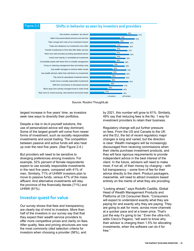#### Figure 2-3 **Shifts in behavior as seen by investors and providers**



Source: Roubini ThoughtLab

largest increase in five years' time, as investors seek new ways to diversify their portfolios.

Despite a rise in do-it-yourself solutions, the use of personalized advice will stay dominant. Some of the largest growth will come from newer forms of investment, such as socially responsible investments and social trading. The competition between passive and active funds will also heat up over the next five years. (See Figure 2-4.)

But providers will need to be sensitive to diverging preferences among investors. For example, 52% percent of female respondents expect to use socially responsible investments in the next five years, compared with 41% of men. Similarly, 71% of UHNW investors plan to move to passive funds, versus 47% of the mass affluent. And alternative investments will stay the province of the financially literate (71%) and UHNW (81%).

#### **Investor quest for value**

Our survey shows that fees and transparency are clearly top of mind to investors. More than half of the investors in our survey say that that they expect their wealth service providers to offer more competitive prices and clarity on fees. After quality, fees and pricing structures are now the most commonly cited selection criteria for investors when choosing a provider (56%), and

by 2021, this number will grow to 61%. Similarly, 49% say that reducing fees is the No. 1 way for investment providers to retain their business.

Regulatory change will put further pressure on fees. From the US and Canada to the UK and the EU, the list of recent regulatory major changes is long and varied, but the direction is clear: Wealth managers will be increasingly discouraged from receiving commissions when their clients purchase investment products, and they will face rigorous requirements to provide independent advice in the best interest of the client. In the future, advisors will need to make most, if not all, of their money by charging – with full transparency – some form of fee for their advice directly to the client. Product packagers, meanwhile, will need to attract investors based entirely on the merits of what they are providing.

"Looking ahead," says Rodolfo Castilla, Global Head of Wealth Management Products and Platforms at Citi Consumer Bank, "Consumers will expect to understand exactly what they are paying for and exactly why they are paying. They are going to ask for more, across more channels at a quicker pace and at a lower price. That's just the way it's going to be." Even the ultra-rich, adds Cisco's Pagano, "will want to know why their advisor is charging them 1.5% for allocating investments, when the software can do it for free."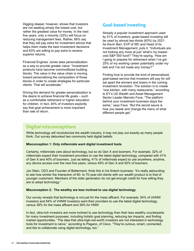Digging deeper, however, shows that investors are not seeking simply the lowest cost, but rather the greatest value for money. In the next five years, only a minority (33%) will focus on reducing management fees. Rather, 68% say that they will pay extra for investment advice that helps them make the best investment decisions and 63% are willing to pay extra to receive superior returns.

Financial Engines' Jones sees personalization as a way to provide greater value: "Investment products have become commoditized building blocks. The value in the value chain is moving toward personalizing the composition of those blocks in order to create strategies for particular clients. That will accelerate."

Driving the demand for greater personalization is the desire to achieve financial life goals – such as a comfortable retirement or higher education for children. In fact, 40% of investors explicitly say that goal achievement is more important than rate of return.

#### **Goal-based investing**

Already a popular investment approach used by 51% of investors, goals-based investing will be used by almost two-thirds (63%) by 2021. As Kevin Barr, EVP of SEI and Head of its Investment Management, puts it, "Individuals are not looking any more at just 'what's my lowestcost S&P 500 fund?' They're saying, 'How am I going to prepare for retirement when I've got 25% of my working career potentially under my belt and I've not made any money?'"

Finding how to provide the kind of personalized, goal-based service that investors will pay for will set apart the winners and losers in the coming investment revolution. The solution is to create "one kitchen, with many restaurants," according to EY's US Wealth and Asset Management Sector Leader Marcelo Fava. "The platform behind your investment business stays the same," says Fava. "But the secret sauce is how you tweak and change the menu of what different people get."

#### **Digital misconceptions**

While technology will revolutionize the wealth industry, it may not play out exactly as many people think. Our survey debunked two commonly held digital beliefs:

#### **Misconception 1: Only millennials want digital investment tools**

Certainly, millennials care about technology, but so do Gen X and boomers. For example, 32% of millennials expect their investment providers to use the latest digital technology, compared with 41% of Gen X and 40% of boomers. Just as telling, 41% of millennials expect to use anywhere, anytime, any device access over the next five years, versus 49% of Gen X and 50% of boomers.

Jon Stein, CEO and Founder of Betterment, finds this in his fintech business: "It's really astounding to see how similar the interaction of 60- to 70-year-old clients with our wealth product is to that of younger customers. Members of the older generation do not get enough credit for how willing they are to adopt technology."

#### **Misconception 2: The wealthy are less inclined to use digital technology**

Our survey reveals that technology is not just for the mass affluent. For example, 54% of UHNW investors and 64% of VHNW investors want their providers to use the latest digital technology, versus 39% for the mass affluent and 38% for HNW.

In fact, ultra-rich investors are more inclined to use technology than their less wealthy counterparts for many investment purposes, including holistic goal planning, reducing tax impacts, and finding market opportunities. "The idea that ultra-high-net-worth investors are not interested in technology tools for investment is naïve," according to Pagano, of Cisco. "They're curious, smart, connected, and like to collaborate using digital technology, too."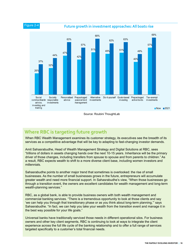

#### Source: Roubini ThoughtLab

### **Where RBC is targeting future growth**

When RBC Wealth Management examines its customer strategy, its executives see the breadth of its services as a competitive advantage that will be key to adapting to fast-changing investor demands.

Amit Sahasrabudhe, Head of Wealth Management Strategy and Digital Solutions at RBC, sees "trillions of dollars in assets changing hands over the next 10-15 years. Inheritance will be the primary driver of those changes, including transfers from spouse to spouse and from parents to children." As a result, RBC expects wealth to shift to a more diverse client base, including women investors and millennials.

Sahasrabudhe points to another major trend that sometimes is overlooked: the rise of small businesses. As the number of small businesses grows in the future, entrepreneurs will accumulate greater wealth and need more financial support. In Sahasrabudhe's view, "When those businesses go through a transition event, the owners are excellent candidates for wealth management and long-term wealth-planning services."

RBC, as a global bank, is able to provide business owners with both wealth management and commercial banking services. "There is a tremendous opportunity to look at those clients and say 'we can help you through that transitionary phase or as you think about long-term planning,'" says Sahasrabudhe. "In fact, we can help you take your wealth from the transition event and manage it in the best way possible for your life goals."

Universal banks have traditionally serviced those needs in different operational silos. For business owners and other key client segments, RBC is continuing to look at ways to integrate the client experience across the full life cycle of the banking relationship and to offer a full range of services targeted specifically to a customer's total financial needs.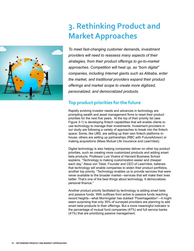

## **3. Rethinking Product and Market Approaches**

*To meet fast-changing customer demands, investment providers will need to reassess many aspects of their strategies, from their product offerings to go-to-market approaches. Competition will heat up, as "born digital" companies, including Internet giants such as Alibaba, enter the market, and traditional providers expand their product offerings and market scope to create more digitized, personalized, and democratized products.* 

#### **Top product priorities for the future**

Rapidly evolving investor needs and advances in technology are prompting wealth and asset management firms to reset their product priorities for the next five years. At the top of their priority list (see Figure 3-1) is developing fintech capabilities that will enable clients to use technology to manage their investments. Investment providers in our study are following a variety of approaches to break into the fintech space: Some, like UBS, are setting up their own fintech platforms inhouse; others are setting up partnerships (RBC with FutureAdvisor) or making acquisitions (Mass Mutual Life Insurance and LearnVest).

Digital technology is also helping companies deliver on other top product priorities, such as creating more customized products and adding smart beta products. Professor Luis Viceira of Harvard Business School explains, "Technology is making customization easier and cheaper each day." Alexa von Tobel, Founder and CEO of LearnVest, believes that technology will enable companies to widen their product portfolios, another top priority. "Technology enables us to provide services that were never available to the broader market—services that will make their lives better. That's one of the best things about technology. It democratizes personal finance."

Another product priority facilitated by technology is adding smart beta and passive funds. With outflows from active to passive funds reaching record heights—what Morningstar has dubbed "Flowmageddon"—it might seem surprising that only 35% of surveyed providers are planning to add smart beta products to their offerings. But a more meaningful indicator is the percentage of mutual fund companies (47%) and full service banks (41%) that are prioritizing passive management.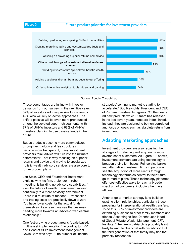#### Figure 3-1 **Future product priorities for investment providers**



Source: Roubini ThoughtLab

These percentages are in line with investor demands from our survey: In the next five years 57% of investors will use passive funds versus 49% who will rely on active approaches. The shift to passive will be even more pronounced among the coveted super-rich segments, with 77% of UHNW investors and 68% of VHNW investors planning to use passive funds in the future.

But as products become more commoditized through technology and fee structures become more transparent, many investment providers think advice will turn into the ultimate differentiator. That is why focusing on superior returns and advice and moving to specialized holistic wealth advisory services are also core to future product plans.

Jon Stein, CEO and Founder of Betterment, explains why his firm, a pioneer in roboinvesting, is building up advisory capabilities: "I view the future of wealth management moving continually to a more advisory environment. There is a multitude of reasons – transaction and trading costs are practically down to zero. You have lower costs for the actual funds themselves. As a result, we see the business heading more towards an advice-driven central relationship."

One fast-growing product area is "goals-based, multi-asset implementation," according to EVP and Head of SEI's Investment Management Kevin Barr, who says, "The number of 'income

strategies' coming to market is starting to accelerate." Bob Reynolds, President and CEO of Putnam Investments, agrees: "Of the nearly 30 new products which Putnam has released in the last seven years, none are index-linked. Instead, they are designed to be non-correlated and focus on goals such as absolute return from investment."

59%

#### **Adapting marketing approaches**

Investment providers are also recasting their strategies for retaining and acquiring a more diverse set of customers. As Figure 3-2 shows, investment providers are using technology to broaden their client bases. Full-service banks and alternative investment firms in particular see the acquisition of more clients through technology platforms as central to their future go-to-market plans. These technology platforms offer cost-effective ways to reach a broader spectrum of customers, including the mass affluent.

Another go-to-market strategy is to build on existing client relationships, particularly those preparing for intergenerational wealth transfers. To do this, 55% of investment providers are extending business to other family members and friends. According to Bob Dannhauser, Head of Global Private Wealth Management, CFA Institute, "The family patriarch is probably least likely to want to Snapchat with his advisor. But the third generation of that family may find that perfectly reasonable."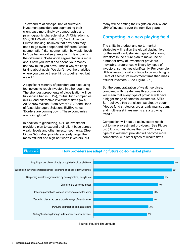To expand relationships, half of surveyed investment providers are segmenting their client base more finely by demographic and psychographic characteristics. Al Chiaradonna, SVP, SEI Wealth Platform<sup>sM</sup>, North America Private Banking, believes that providers may need to go even deeper and shift from "wallet segmentation" (i.e. segmentation by wealth level) to "true behavioral segmentation." He explains the difference: "Behavioral segmentation is more about how you invest and spend your money, not how much you have. That is why we keep talking about goals. We don't have the analytics where you can tie these things together yet, but we will."

A significant minority of providers are also using technology to reach investors in other countries. The strongest proponents of globalization will be full-service banks (51%), mutual fund companies (50%), and alternative investment firms (47%). As Andrew Wilson, State Street's SVP and Head of Asset Managers Solutions EMEA, notes, "Borders are coming down. These companies are going global."

In addition to globalizing, 42% of investment providers plan to expand their client base across wealth levels and other investor segments. (See Figure 3-3.) Most providers already target the mass affluent and high-net-worth investors, but

many will be setting their sights on VHNW and UHNW investors over the next five years.

#### **Competing in a new playing field**

The shifts in product and go-to-market strategies will realign the global playing field for the wealth industry. As Figure 3-4 shows, investors in the future plan to make use of a broader array of investment providers. Inevitably, preferences will vary by types of investors, sometimes significantly. For example, UHNW investors will continue to be much higher users of alternative investment firms than mass affluent investors. (See Figure 3-5.)

But the democratization of wealth services, combined with greater wealth accumulation, will mean that every type of provider will have a bigger range of potential customers. SEI's Barr believes this transition has already begun: "Hedge fund strategies are already mainstream, and multi-asset investments are a growing trend."

Competition will heat up as investors reach out to more investment providers. (See Figure 3-6.) Our survey shows that by 2021 every type of investment provider will become more competitive with other types of wealth firms.

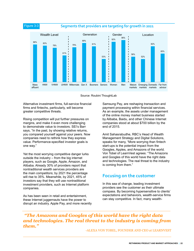



Alternative investment firms, full-service financial firms and fintechs, particularly, will become greater competitive threats.

Rising competition will put further pressures on margins, and make it even more challenging to demonstrate value to investors. SEI's Barr says, "In the past, by showing relative returns, you compared yourself against your peers. Now companies need to rethink how they express value. Performance-specified investor goals is one way."

Yet the most worrying competitive danger lurks outside the industry – from the big internet players, such as Google, Apple, Amazon, and Alibaba. Already 30% of providers report that nontraditional wealth services providers are the main competitors; by 2021 the percentage will rise to 35%. Meanwhile, by 2021, 45% of investors say that they will use nontraditional investment providers, such as Internet platform companies.

As has been seen in retail and entertainment. these Internet juggernauts have the power to disrupt an industry. Apple Pay, and more recently

Samsung Pay, are reshaping transaction and payment processing within financial services. As an example, the assets under management of the online money market business started by Alibaba, Baidu, and other Chinese Internet companies stood at about \$700 billion by the end of 2015.

Amit Sahasrabudhe, RBC's Head of Wealth Management Strategy and Digital Solutions, speaks for many, "More worrying than fintech start-ups is the potential impact from the Googles, Apples, and Amazons of the world. Von Tobel of LearnVest agrees: "The Amazons and Googles of this world have the right data and technologies. The real threat to the industry is coming from them."

#### **Focusing on the customer**

In this sea of change, leading investment providers see the customer as their ultimate compass. By becoming hypersensitive to clients' expectations and behaviors, wealth-service firms can stay competitive. In fact, many wealth-

 *"The Amazons and Googles of this world have the right data and technologies. The real threat to the industry is coming from them."*

-ALEXA VON TOBEL, FOUNDER AND CEO at LEARNVEST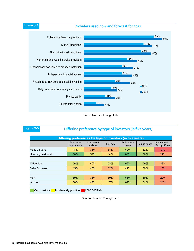**Providers used now and forecast for 2021** Figure 3-4



Source: Roubini ThoughtLab

#### Figure 3-5 **Differing preference by type of investors (in five years)**

| Differing preferences by type of investors (in five years)                                                       |                            |                        |         |                              |                     |                                  |  |
|------------------------------------------------------------------------------------------------------------------|----------------------------|------------------------|---------|------------------------------|---------------------|----------------------------------|--|
|                                                                                                                  | Alternative<br>investments | Investment<br>advisors | FinTech | <b>Full-service</b><br>banks | <b>Mutual funds</b> | Private banks/<br>family offices |  |
| Mass affluent                                                                                                    | 48%                        | 33%                    | 34%     | 60%                          | 52%                 | 9%                               |  |
| Ultra-high net worth                                                                                             | 80%                        | 54%                    | 44%     | 84%                          | 66%                 | 29%                              |  |
|                                                                                                                  |                            |                        |         |                              |                     |                                  |  |
| Millennials                                                                                                      | 56%                        | 46%                    | 53%     | 69%                          | 59%                 | 33%                              |  |
| <b>Baby Boomers</b>                                                                                              | 45%                        | 45%                    | 32%     | 49%                          | 50%                 | 15%                              |  |
|                                                                                                                  |                            |                        |         |                              |                     |                                  |  |
| Men                                                                                                              | 59%                        | 38%                    | 39%     | 68%                          | 59%                 | 22%                              |  |
| Women                                                                                                            | 50%                        | 47%                    | 47%     | 61%                          | 54%                 | 24%                              |  |
| the control of the control of<br>the contract of the contract of the contract of the contract of the contract of |                            |                        |         |                              |                     |                                  |  |

Very positive Moderately positive Less positive

Source: Roubini ThoughtLab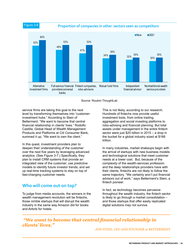**Proportion of companies in other sectors seen as competitors** 



Source: Roubini ThoughtLab

service firms are taking this goal to the next level by transforming themselves into "customerinvestment hubs." According to Stein of Betterment, "We want to become that central financial relationship in clients' lives." Rodolfo Castilla, Global Head of Wealth Management Products and Platforms at Citi Consumer Bank, summed it up, "We want to own the client."

In this quest, investment providers plan to deepen their understanding of the customer over the next five years by leveraging advanced analytics. (See Figure 3-7.) Specifically, they plan to install CRM systems that provide an integrated view of the customer; use predictive models to identify future investor trends; and set up real-time tracking systems to stay on top of fast-changing customer needs.

#### **Who will come out on top?**

To judge from media accounts, the winners in the wealth management revolution will be fintechs, those nimble startups that will disrupt the wealth industry in the same way Amazon did for books and Airbnb for hotels.

This is not likely, according to our research. Hundreds of fintechs now provide useful investment tools, from online trading, aggregation and social investing platforms to robo-advising and financial planning. But total assets under management in the entire fintech sector were just \$20 billion in 2015 – a drop in the bucket for a global industry sized at \$168 trillion.

In many industries, market shakeups begin with the arrival of startups with new business models and technological solutions that meet customer needs at a lower cost. But, because of the complexity of the wealth-services profession and the deep relationships providers have with their clients, fintechs are not likely to follow the same trajectory. "We certainly won't put financial advisors out of work," says Betterment's Stein, a fintech pioneer.

In fact, as technology becomes pervasive throughout the wealth industry, the fintech sector is likely to go through a market consolidation – and those startups that offer easily replicated digital solutions may not survive.

### *"We want to become that central financial relationship in clients' lives."*

-JON STEIN, CEO AND FOUNDER at BETTERMENT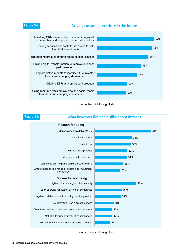#### Figure 3-7 **Driving customer centricity in the future**



Source: Roubini ThoughtLab



Source: Roubini ThoughtLab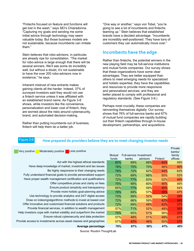"Fintechs focused on feature and functions will get lost in the wash," says SEI's Chiaradonna. "Capturing my goals and sending me some initial advice through technology may seem valuable today. But those business models are not sustainable, because incumbents can imitate them."

Stein believes that robo-advisors, in particular, are already ripe for consolidation. "The market for robo-advice is large enough that there will be several winners. We'll see some do incredibly well, but without a doubt, it's not sustainable to have the over 200 robo-advisors now in existence," he says.

Inherent mistrust of new entrants makes gaining clients all the harder. Indeed, 37% of surveyed investors said they would not use a fintech service unless it was affiliated with an established brand name. As Figure 3-8 shows, while investors like the convenience, personalization and lower cost of fintech, they are worried about the risks around cybersecurity, brand, and automated decision-making.

Rather than putting incumbents out of business, fintech will help them do a better job.

"One way or another," says von Tobel, "you're going to see a lot of incumbents and fintechs teaming up." Stein believes that established brands have a decided advantage. "Incumbents are incredibly well-positioned. They have tons of customers they can automatically move over."

#### **Incumbents have the edge**

Rather than fintechs, the potential winners in the new playing field may be full-service institutions and mutual funds companies. Our survey shows that these organizations have some clear advantages: They are better equipped than others to meet emerging needs for specialized and holistic expertise; they have the capabilities and resources to provide more responsive and personalized services; and they are better placed to comply with professional and regulatory standards. (See Figure 3-9.)

Perhaps most crucially, these companies are reinventing themselves digitally: Our survey shows that 76% of full-service banks and 67% of mutual fund companies are rapidly building out their fintech capabilities through in-house development, partnerships, and acquisitions.

#### **How prepared do providers believe they are to meet changing investor needs** Figure 3-9

| Moderately positive<br>Less positive<br>Very positive                | Mutual<br>funds | Full-service Investment<br>banks | advisors   | Fintech | Private<br>banks/<br>family<br>offices |
|----------------------------------------------------------------------|-----------------|----------------------------------|------------|---------|----------------------------------------|
| Act with the highest ethical standards                               | 80%             | 69%                              | 68%        | 40%     | 59%                                    |
| Have deep knowledge of market, investment and tax issues             | 78%             | 75%                              | <b>70%</b> | 48%     | 46%                                    |
| Be highly responsive to their changing needs                         | 78%             | 72%                              | 62%        | 44%     | 63%                                    |
| Fully understand financial goals to provide personalized support     | 72%             | 69%                              | 66%        | 50%     | 53%                                    |
| Have proper wealth management certification and qualifications       | 72%             | 77%                              | 63%        | 52%     | 46%                                    |
| Offer competitive prices and clarity on fees                         | 75%             | 69%                              | 60%        | 46%     | 56%                                    |
| Ensure product simplicity and transparency                           | 65%             | 77%                              | 59%        | 40%     | 54%                                    |
| Provide more holistic goal-planning advice                           | 78%             | 69%                              | 57%        | 35%     | 47%                                    |
| Use technology to provide analytics and 24/7 digital access          | 73%             | 69%                              | 52%        | 54%     | 39%                                    |
| Draw on indexing/algorithmic methods to invest at lowest cost        | 72%             | 66%                              | 59%        | 42%     | 34%                                    |
| Offer innovative and customized financial solutions and products     | 72%             | 69%                              | 48%        | 42%     | 37%                                    |
| Provide financial services, in addition to wealth management         | 57%             | <b>71%</b>                       | 52%        | 48%     | 36%                                    |
| Help investors cope with market volatility and outperform the market | 75%             | 65%                              | 51%        | 56%     | 37%                                    |
| Ensure robust cybersecurity and data protection                      | 57%             | 48%                              | 51%        | 48%     | 41%                                    |
| Provide access to investments across asset classes and geographies   | 57%             | 42%                              | 46%        | 50%     | 37%                                    |
| Average percentage                                                   | 70%             | 67%                              | 58%        | 47%     | 45%                                    |

Source: Roubini ThoughtLab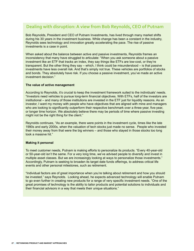#### **Dealing with disruption: A view from Bob Reynolds, CEO of Putnam**

Bob Reynolds, President and CEO of Putnam Investments, has lived through many market shifts during his 30 years in the investment business. While change has been a constant in the industry, Reynolds sees technology and innovation greatly accelerating the pace. The rise of passive investments is a case in point.

When asked about the balance between active and passive investments, Reynolds frames an inconsistency that many have struggled to articulate: "When you ask someone about a passive investment like an ETF that tracks an index, they say things like ETFs are low-cost, or they're transparent. But the other thing they say – which, I think could be misunderstood – is that passive investments have less overall risk. And that's simply not true. These vehicles are portfolios of stocks and bonds. They absolutely have risk. If you choose a passive investment, you've made an active investment decision."

#### **The value of active management**

According to Reynolds, it's crucial to keep the investment framework suited to the individuals' needs. "Investors need vehicles to pursue long-term financial objectives. With ETFs, half of the investors are institutional – and many of those institutions are invested in the ETF just for liquidity reasons. As an investor, I want my money with people who have objectives that are aligned with mine and managers who are looking to significantly outperform their respective benchmark over a three-year, five-year, or longer time horizon. We absolutely believe there may be periods of time where passive investing might not be the right thing for the client."

Reynolds continues, "As an example, there were points in the investment cycle, times like the late 1990s and early 2000s, when the valuation of tech stocks just made no sense. People who invested their money away from that were the big winners – and those who stayed in those stocks too long took a massive hit."

#### **Making it personal**

To meet customer needs, Putnam is making efforts to personalize its products. "Every 40-year-old or 50-year-old isn't the same. For a very long time, we've advised people to diversify and invest in multiple asset classes. But we are increasingly looking at ways to personalize those investments." Accordingly, Putnam is seeking to broaden its target date funds offerings, to address critical life events and other personal milestones, such as retirement.

"Individual factors are of great importance when you're talking about retirement and how you should be invested," says Reynolds. Looking ahead, he expects advanced technology will enable Putnam to go even further in creating new products for a range of very specific investment needs. "One of the great promises of technology is the ability to tailor products and potential solutions to individuals and their financial advisors in a way that meets their unique situations."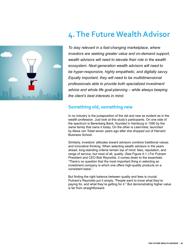

# **4. The Future Wealth Advisor**

*To stay relevant in a fast-changing marketplace, where investors are seeking greater value and on-demand support, wealth advisors will need to elevate their role in the wealth ecosystem. Next-generation wealth advisors will need to be hyper-responsive, highly empathetic, and digitally savvy. Equally important, they will need to be multidimensional professionals able to provide both specialized investment advice and whole life goal-planning – while always keeping the client's best interests in mind.* 

### **Something old, something new**

In no industry is the juxtaposition of the old and new as evident as in the wealth profession. Just look at this study's participants. On one side of the spectrum is Berenberg Bank, founded in Hamburg in 1590 by the same family that owns it today. On the other is LearnVest, launched by Alexa von Tobel seven years ago after she dropped out of Harvard Business School.

Similarly, investors' attitudes toward advisors combine traditional values and innovative thinking. When selecting wealth advisors in the years ahead, long-standing criteria remain top of mind: fees, reputation, and range of service, but most of all, quality. (See Figure 4-1.) For Putnam President and CEO Bob Reynolds, it comes down to the essentials: "There's no question that the most important thing in selecting an investment company is which one offers high-quality products on a consistent basis."

But finding the right balance between quality and fees is crucial. Putnam's Reynolds put it simply, "People want to know what they're paying for, and what they're getting for it." But demonstrating higher value is far from straightforward.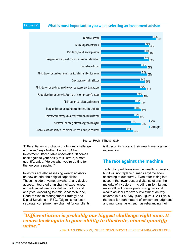#### Figure 4-1 **What is most important to you when selecting an investment advisor**





#### Source: Roubini ThoughtLab

"Differentiation is probably our biggest challenge right now," says Nathan Erickson, Chief Investment Officer, MRA Associates. "It comes back again to your ability to illustrate, almost quantify, value: 'Here's what you're getting for the fee you're paying.'"

Investors are also assessing wealth advisors on new criteria: their digital capabilities. These include anytime, anywhere, any device access, integrated omnichannel experience, and advanced use of digital technology and analytics. According to Amit Sahasradbudhe, Head of Wealth Management Strategy and Digital Solutions at RBC, "Digital is not just a separate, complimentary channel for our clients,

is it becoming core to their wealth management experience."

#### **The race against the machine**

Technology will transform the wealth profession, but it will not replace humans anytime soon, according to our survey. Even after taking into account the lower cost of digital solutions, the majority of investors – including millennial and mass affluent ones – prefer using personal wealth advisors for every investment activity covered in our survey. (See Figure 4- 2.) This is the case for both matters of investment judgment and mundane tasks, such as rebalancing their

*"Differentiation is probably our biggest challenge right now. It comes back again to your ability to illustrate, almost quantify value."*

-NATHAN ERICKSON, CHIEF INVESTMENT OFFICER at MRA ASSOCIATES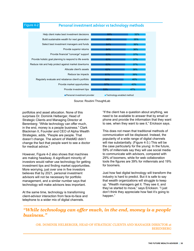#### Figure 4-2 **Personal investment advisor vs technology methods**



Source: Roubini ThoughtLab

portfolios and asset allocation. None of this surprises Dr. Dominik Helberger, Head of Strategic Clients and Managing Director at Berenberg: "While technology can offer much, in the end, money is a people business." Clark Blackman II, Founder and CEO of Alpha Wealth Strategies, adds, "People are people. That doesn't change. The advent of WebMD didn't change the fact that people want to see a doctor for medical advice."

However, Figure 4-2 also shows that machines are making headway. A significant minority of investors would rather use technology for getting investment tips and finding market opportunities. More worrying, just over one in five investors believes that by 2021, personal investment advisors will not be necessary for portfolio management, and a similar number says that technology will make advisors less important.

At the same time, technology is transforming client-advisor interaction from face-to-face and telephone to a wider mix of digital channels.

"If the client has a question about anything, we need to be available to answer that by email or phone and provide the information that they want to see, when they want to see it," Erickson says.

This does not mean that traditional methods of communication will be displaced. Instead, the popularity of a wide range of digital channels will rise substantially. (Figure 4-3.) This will be the case particularly for the young: In the future, 59% of millennials say they will use social media to communicate with advisors, compared with 29% of boomers, while for web collaboration tools the figures are 39% for millennials and 19% for boomers.

Just how fast digital technology will transform the industry is hard to predict. But it is safe to say that wealth organizations will struggle to keep up. "Wealth managers get it. They see it, and they've started to move," says Erickson. "I just don't think they appreciate how fast it's going to happen."

#### *"While technology can offer much, in the end, money is a people business."*

-DR. DOMINIK HELBERGER, HEAD OF STRATEGIC CLIENTS AND MANAGER DIRECTOR at BERENBERG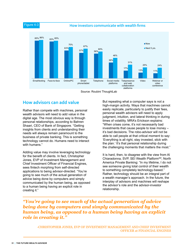Figure 4-3 **How investors communicate with wealth firms**



Source: Roubini ThoughtLab

#### **How advisors can add value**

Rather than compete with machines, personal wealth advisors will need to add value in the digital age. The most obvious way is through personal relationships, according to Bahren Shaari, CEO of Bank of Singapore. "Getting insights from clients and understanding their needs will always remain paramount to the business of private banking. This is something technology cannot do. Humans need to interact with humans."

Adding value may involve leveraging technology for the benefit of clients. In fact, Christopher Jones, EVP of Investment Management and Chief Investment Officer of Financial Engines, sees fintech morphing from self-directed applications to being advisor-directed. "You're going to see much of the actual generation of advice being done by computers and simply communicated by the human being, as opposed to a human being having an explicit role in creating it."

But repeating what a computer says is not a high-margin activity. Ways that machines cannot easily replicate, particularly to justify their fees, personal wealth advisors will need to apply judgment, intuition, and lateral thinking in during times of volatility. MRA's Erickson explains: "When crises come, it's not necessarily bad investments that cause people to lose money – it's bad decisions. The robo-advisor will not be able to call people at that critical moment to say: 'Everything is all right, stay invested, stick with the plan.' It's that personal relationship during the challenging moments that matters the most."

It is hard, then, to disagree with the view from Al Chiaradonna, SVP, SEI Wealth Platform<sup>sM</sup>, North America Private Banking: "In my lifetime, I do not see someone giving total control of their wealth to something completely technology-based." Rather, technology should be an integral part of a wealth manager's approach. In the future, the interplay of advisors and machines will reshape the advisor's role and the advisor-investor relationship.

*"You're going to see much of the actual generation of advice being done by computers and simply communicated by the human being, as opposed to a human being having an explicit role in creating it."*

-CHRISTOPHER JONES, EVP OF INVESTMENT MANAGEMENT AND CHIEF INVESTMENT OFFICER at FINANCIAL ENGINES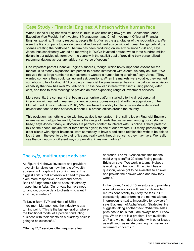### **Case Study - Financial Engines: A fintech with a human face**

When Financial Engines was founded in 1996, it was breaking new ground. Christopher Jones, Executive Vice President of Investment Management and Chief Investment Officer at Financial Engines explains, "In many respects, people think of us as the grandfather of the robo-advisors. We were the first company to provide personalized investment advice without human beings behind the scenes creating the portfolios." The firm has been producing online advice since 1998 and, says Jones, has consistently worked at improving it. "We've invested around two to three hundred million dollars in our advice platform over the years with the explicit goal of providing truly personalized recommendations across any arbitrary universe of options."

One important part of Financial Engine's success, though, which holds important lessons for the market, is its steady expansion into person-to-person interaction with clients. As early as 2004, "We realized that a large number of our customers wanted a human being to talk to," says Jones. "They wanted someone they could call up and ask questions. When the markets were volatile, they wanted somebody to talk to about it." Accordingly, Financial Engines invested heavily in a call center advisory capability that now has over 250 advisors. These now can interact with clients using phone, video chat, and face-to-face meetings to provide an ever-expanding range of investment services.

More recently, the company that began as an online platform started offering direct personal interaction with named managers of client accounts. Jones notes that with the acquisition of The Mutual Fund Store in February 2016, "We now have the ability to offer a face-to-face dedicated advisor and face-to-face services in about 125 branch offices around the country."

This evolution has nothing to do with how advice is generated – that still relies on Financial Engine's extensive technology. Instead it, "reflects the range of needs that we've seen among our customer base," says Jones. "Many customers are perfectly content to interact with us online. Others prefer to talk on the phone, maybe two or three times a year, to one of our advisors. But many, particularly our older clients with higher balances, want somebody to have a dedicated relationship with; to be able to look them in the eye, to go to their office and really work through concerns they may have. We really see the continuum of different ways of providing investment advice."

#### **The 24/7, multipurpose advisor**

As Figure 4-4 shows, investors and providers have similar views on how the role of wealth advisors will morph in the coming years. The biggest shift is that advisors will need to provide even more responsive, on-demand advice. Bank of Singapore's Shaari sees this already happening in Asia. "Our private bankers need to, and do, provide data to clients who want it anytime, anywhere."

To Kevin Barr, EVP and Head of SEI's Investment Management, the industry is at a turning point: "This is the last generation where the traditional model of a person conducting business with their clients on a quarterly basis is going to be successful."

Offering 24/7 services often requires a team

approach. For MRA Associates this means mobilizing a staff of 20 client-facing people. Erickson says, "We work in teams. Nobody is working on their own. If the client has a question, we've got to be available to answer and provide the answer when and how they want it."

In the future, 4 out of 10 investors and providers also believe advisors will need to deliver high returns consistently to justify the fees. "But consistently outperforming the market without interruption is next to impossible for advisers," says Blackman of Alpha Wealth Strategies. He suggests taking another tack: "What the sales pitch has to be is that 'I am always here. I know you. When there is a problem, I am available 24/7 and we can deal together with other issues as well, such as estate planning, tax issues, or retirement concerns.'"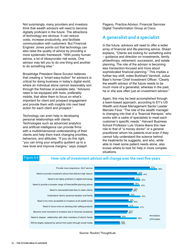Not surprisingly, many providers and investors think that wealth advisors will need to become digitally proficient in the future. The attractions of technology are obvious: It can reduce costs, increase productivity, and facilitate communication with customers. But Financial Engines' Jones points out that technology can also raise the quality of advice by providing a more systematic framework. "With purely human advice, a lot of idiosyncratic risk exists. One advisor may tell you to do one thing and another to do something else."

Broadridge President Steve Scruton believes that creating a "smart easy-button" for advisors is critical for doing business in today's digital world, where an individual alone cannot reasonably sort through the firehose of available data. "Advisors need to be equipped with tools, preferably mobile, that allow them to focus on what's important for client and prospect engagement and provide them with insights into next best action for each client and prospect."

Technology can even help in developing personal relationships with clients. Technologies such as advanced analytics and artificial intelligence can provide firms with a multidimensional understanding of their clients and help them track changing priorities, behaviors, and attitudes. "If you do this right, "you can bring your empathy quotient up to a new level and improve margins," says Joseph

Pagano, Practice Advisor, Financial Services Digital Transformation Group at Cisco.

#### **A generalist and a specialist**

In the future, advisors will need to offer a wider array of financial and life-planning advice. Shaari explains, "Clients are looking for something extra – guidance and direction on investments, family philanthropy, retirement, succession, and estate planning. The role of the advisor is becoming less transaction-focused and more about sophisticated financial planning." This implies a further key shift, notes Burkhard Varnholt, Julius Baer's former Chief Investment Officer. "Clearly the wealth advisor of the future needs to be much more of a generalist, whereas in the past, he or she was often just an investment advisor."

Again, this may be best accomplished through a team-based approach, according to EY's US Wealth and Asset Management Sector Leader Marcelo Fava: "The role of the wealth manager is changing into that of a 'financial therapist,' who works with a cadre of specialists to meet each customer's specific needs." Harvard Business School Professor Luis Viceira likens this new role to that of "a money doctor" or a general practitioner whom his patients trust even if they cannot fully understand the science behind the treatments he suggests, and who, while able to meet some patient needs alone, also knows where to look for help in more complex situations.

#### Figure 4-4 **How role of investment advisor will change over the next five years**



Source: Roubini ThoughtLab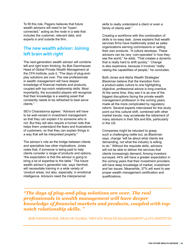To fill this role, Pagano believes that future wealth advisors will need to be "hyperconnected," acting as the node in a web that includes the customer, relevant data, and experts in and outside the firm.

#### **The new wealth advisor: Joining left brain with right**

The next-generation wealth advisor will combine left and right brain thinking. As Bob Dannhauser, Head of Global Private Wealth Management at the CFA Institute, puts it, "The days of plug-andplay solutions are over. The real professionals in wealth management will have deeper knowledge of financial markets and products, coupled with top-notch relationship skills. Most importantly, the successful players will recognize that their knowledge is a wasting asset that constantly needs to be refreshed to best serve clients."

SEI's Chiaradonna agrees: "Advisors will have to be well-versed in investment management so that they can explain it to someone who is not. But they will also require a human side that helps them understand the fears and frustrations of customers, so that they can explain things in a way that will be interpreted properly."

The advisor's role as the bridge between clients and specialists has other implications. Jones notes that, if someone is being paid to help clients consider a range of products and options, "the expectation is that the advisor is going to bring a lot of expertise to the table." The future wealth advisor's generalist role, says Varnholt, will necessitate training in a wide variety of "product areas, but also, especially, in emotional intelligence. Advisors need the interpersonal

skills to really understand a client or even a family of clients well."

Creating a workforce with this combination of skills is no easy task. Jones explains that wealth services firms have traditionally acted as sales organizations earning commissions or selling their own products. "A culture develops. These advisors can be very 'coin-operated' in how they see the world," he adds. "That creates a dynamic that is really hard to shift quickly." Change is also expensive, because it involves "really raising the capabilities of people," he concludes.

Both Jones and Alpha Wealth Strategies' Blackman believe that the transition from a product-sales culture to one highlighting objective, professional advice is long overdue. At the same time, they see it is as one of the biggest disruptions facing the private wealth management profession in the coming years, made all the more complicated by regulatory reform. Several experts interviewed for this study point out this cultural shift, combined with other market trends, may accelerate the retirement of many advisors in their 50s and 60s, particularly in the US.

Companies might be reluctant to grasp such a challenging nettle but, as Blackman says, change "will be about what clients are demanding, not what the industry is willing to do." Without the requisite skills, advisors will not be able to deliver the services that clients increasingly demand. Among investors surveyed, 44% will have a greater expectation in the coming years that their investment providers will have deep knowledge of market, investment and tax issues. Meanwhile, 37% will want to see proper wealth management certification and qualifications.

*"The days of plug-and-play solutions are over. The real professionals in wealth management will have deeper knowledge of financial markets and products, coupled with topnotch relationship skills. "* 

-BOB DANNHAUSER, HEAD OF GLOBAL PRIVATE WEALTH MAANAGEMENT at CFA INSTITUTE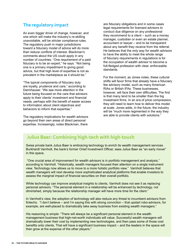#### **The regulatory impact**

An even bigger driver of change, however, and one which will make the industry's re-skilling unavoidable, will be stricter compliance rules. The regulatory push in major jurisdictions toward a fiduciary model of advice will do more than reduce conflicts of interest. Blackman's comments about the US could apply in any number of countries. "One requirement of a paid fiduciary is to be an expert," he says. "Not being one is a primary impediment to giving good advice, but that high level of expertise is not as prevalent in the marketplace as it should be."

"The typical components of fiduciary duty are loyalty, prudence and care," according to Dannhauser. "We see more attention in the future being focused on the care that advisors apply to their clients' investment and financial needs, perhaps with the benefit of easier access to information about client objectives and behaviors to inform that expertise."

The regulatory implications for wealth advisors go beyond their own areas of direct personal expertise. Increasingly, notes Blackman, there

are fiduciary obligations and in some cases legal requirements for licensed advisors to conduct due diligence on any professional they recommend to a client – such as a money manager, custodian or even an estate planner, accountant or lawyer – and to be transparent about any benefit they receive from the referral. He believes that the only way for wealth advisors to have the ability to meet the whole range of fiduciary requirements in regulations is for the occupation of wealth advisor to become a full-fledged profession with clear, enforceable standards.

For the moment, as Jones notes, these cultural shifts will favor firms that already have a fiduciary fee advisory model, such as many American RIAs or British IFAs. These businesses, however, will face their own difficulties. The first is that many tend to be smaller than the big investment firms. In an era of price compression, they will need to learn how to deliver this model at scale. Jones adds, in the future, the industry will be "much more regimented in the way they are able to provide clients with solutions."

### **Julius Baer: Combining high-tech with high-touch**

Swiss private bank Julius Baer is embracing technology to enrich its wealth management services. Burkhardt Varnholt, the bank's former Chief Investment Officer, sees Julius Baer as "an early mover" in this space.

 "One crucial area of improvement for wealth advisors is in portfolio management and analysis," according to Varnholt. "Historically, wealth managers focused their attention on a single instrument view. Technology now allows us to move to a more holistic portfolio view." Varnholt believes that wealth managers will next develop more sophisticated analytical platforms that enable investors to assess the marginal impact of financial securities on their overall portfolio.

While technology can improve analytical insights to clients, Varnholt does not see it as replacing personal advisors. "The personal element in a relationship will be enhanced by technology, not diminished, simply because the relationship manager will have more time for the client."

In Varnholt's view, the adoption of technology will also reduce any threat to incumbent advisors from fintechs. "I don't believe – and I'm saying this with strong conviction – that upstart robo-advisors, for example, are well-placed to dramatically take away business from existing wealth managers."

His reasoning is simple: "There will always be a significant personal element in the wealth management business that high-net-worth individuals will value. Successful wealth managers will dramatically lower their cost by implementing new technologies, and then pass some of those cost benefits onto clients. That will have a significant business impact – and the leaders in the space will then grow at the expense of the other players."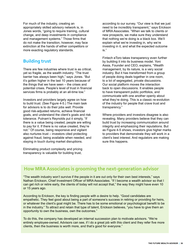For much of the industry, creating an appropriately skilled advisory network is, in Jones words, "going to require training, cultural change, and deep investments in compliance and management systems." Those firms that do not make the transition, however, may face extinction at the hands of either competitors or more exacting regulatory standards.

#### **Building trust**

There are few industries where trust is as critical, yet so fragile, as the wealth industry. "The trust barrier has always been high," says Jones. "But it's gotten higher in the last 10 years because of the things that we have seen – the crises and potential crises. People's level of trust in financial services firms is probably at an all-time low."

Investors and providers largely agree on how to build trust. (See Figure 4-5.) The main task for advisors is to do their jobs well: Provide good risk-adjusted returns, achieve financial goals, and understand the client's goals and risk tolerance. Putnam's Reynolds put it simply, "If there is a value being created, people are willing to pay for it. If there is no value created, they're not." Of course, being responsive and vigilant also nurtures trust – investors cited protecting against fraud, being available when needed, and staying in touch during market disruptions.

Eliminating product complexity and pricing transparency is valuable for building trust,

according to our survey. "Our view is that we just need to be incredibly transparent," says Erickson of MRA Associates. "When we talk to clients or new prospects, we make sure they understand that nothing we're doing is a black box. We'll explain what we're investing in, why we're investing in it, and what the expected outcome is."

Fintech eToro takes transparency even further by building it into its business model. Yoni Assia, Founder and CEO, explains, "Wealth management, by its nature, is a very social industry. But it has transformed from a group of people doing deals together in one room, to a lot of segregated, private discussions. Our social platform moves the interaction back to open discussions. It enables people to have transparent public portfolios, and communicate with one another openly about what they're doing. This is a classic re-evolution of the industry for people that crave trust and transparency."

Where providers and investors disagree is also revealing. Many providers believe that they can build trust by increasing communication around integrity and emphasizing their reputations. But as Figure 4-5 shows, investors give higher marks to providers that demonstrate they will work in a client's best interest. And regulators are making sure this happens.

#### **How MRA Associates is grooming the next-generation advisor**

"The wealth industry won't survive if the people in it are out only for their own best interests," says Nathan Erickson, Chief Investment Officer of MRA Associates. "If I become a wealth advisor so that I can get rich or retire early, the clients of today will not accept that," the way they might have even 10 or 15 years ago.

According to Erickson, the key is finding people with a desire to help. "Good candidates are empathetic. They feel good about being a part of someone's success in retiring or providing for heirs, or whatever the client's goal might be. There has to be some emotional or psychological benefit to be in the industry." To attract and retain that type of talent, Erickson believes, "you have to give them an opportunity to own the business, own the outcomes."

To do this, the company has developed an internal succession plan to motivate advisors. "We're entirely employee-owned. Advisors can see, if I do a great job with this client and they refer five more clients, then the business is worth more, and that's good for everyone."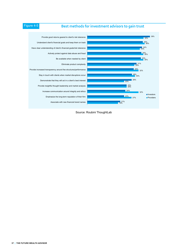### Figure 4-5 **Best methods for investment advisors to gain trust**



Source: Roubini ThoughtLab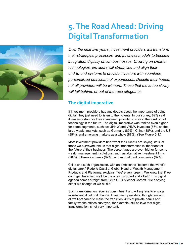

# **5. The Road Ahead: Driving Digital Transformation**

*Over the next five years, investment providers will transform their strategies, processes, and business models to become integrated, digitally driven businesses. Drawing on smarter technologies, providers will streamline and align their end-to-end systems to provide investors with seamless, personalized omnichannel experiences. Despite their hopes, not all providers will be winners. Those that move too slowly will fail behind, or out of the race altogether.*

#### **The digital imperative**

If investment providers had any doubts about the importance of going digital, they just need to listen to their clients. In our survey, 82% said it was important for their investment provider to stay at the forefront of technology in the future. The digital imperative was ranked even higher for some segments, such as: UHNW and VHNW investors (86% each); large wealth markets, such as Germany (89%), China (88%), and the US (85%); and emerging markets as a whole (87%). (See Figure 5-1.)

Most investment providers hear what their clients are saying: 81% of those we surveyed told us that digital transformation is important for the future of their business. The percentages are even higher for some wealth management institutions, such as alternative investment firms (90%), full-service banks (87%), and mutual fund companies (87%).

Citi is one such organization, with an ambition to "become the world's digital bank." Rodolfo Castilla, Global Head of Wealth Management Products and Platforms, explains, "We're very urgent. We know that if we don't get there first, we'll be the ones disrupted and killed." This digital agenda comes straight from Citi's CEO Michael Corbett. "He's saying either we change or we all die."

Such transformation requires commitment and willingness to engage in substantial cultural change. Investment providers, though, are not all well-prepared to make the transition: 41% of private banks and family wealth offices surveyed, for example, still believe that digital transformation is not very important.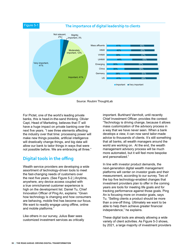

Source: Roubini ThoughtLab

For Pictet, one of the world's leading private banks, this is head-in-the-sand thinking. Olivier Capt, Head of Marketing, believes that IT will have a huge impact on private banking over the next five years. "I see three elements affecting the industry over that time: processing power will make new things possible, artificial intelligence will drastically change things, and big data will allow our bank to tailor things in ways that were not possible before. We are embracing all three."

### **Digital tools in the offing**

Wealth service providers are developing a wide assortment of technology-driven tools to meet the fast-changing needs of customers over the next five years. (See Figure 5-2.) Anytime, anywhere, any device access coupled with a true omnichannel customer experience is high on the development list. Daniel Tu, Chief Innovation Officer of Ping An, explains: "Given how technology is changing and how consumers are behaving, mobile first has become our focus. We want to readily engage using offline, online and mobile platforms."

Like others in our survey, Julius Baer sees customized investment services as critically important. Burkhard Varnholt, until recently Chief Investment Officer, provides the context: "Technology is driving change, because it allows mass customization of the advisory process in a way that we have never seen. When a bank develops a view, it can now send tailor-made advice to thousands of clients. It's still something that all banks, all wealth managers around the world are working on. At the end, the wealth management advisory process will be much more automated, but it will feel more bespoke and personalized."

In line with investor product demands, the next-generation digital wealth management platforms will center on investor goals and their measurement, according to our survey. Two of the top five technology-enabled changes that investment providers plan to offer in the coming years are tools for meeting life goals and for tracking performance against those goals. Ping An is focusing more on investor goals, says Tu. "Selling clients a product should be more than a one-off thing. Ultimately we want to be able to help them achieve greater financial independence," he explains.

These digital tools are already allowing a wide variety of client activities. As Figure 5-3 shows, by 2021, a large majority of investment providers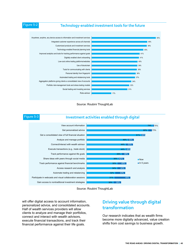#### Figure 5-2 **Technology-enabled investment tools for the future**









will offer digital access to account information, personalized advice, and consolidated accounts. Half of wealth services providers will allow clients to analyze and manage their portfolios, connect and interact with wealth advisors, execute financial transactions, and track their financial performance against their life goals.

#### **Driving value through digital transformation**

Our research indicates that as wealth firms become more digitally advanced, value creation shifts from cost savings to business growth.

#### **THE ROAD AHEAD: DRIVING DIGITAL TRANSFORMATION | 40**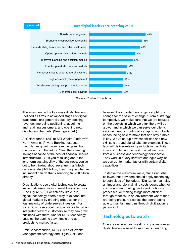#### Figure 5-4 **How digital leaders are creating value**



Source: Roubini ThoughtLab

This is evident in the key ways digital leaders (defined as firms in advanced stages of digital transformation) generate value: by boosting revenue, improving positioning, acquiring and retaining customers, and opening new distribution channels. (See Figure 5-4.)

Al Chiaradonna, SVP at SEI Wealth Platform<sup>SM</sup>, North America Private Banking, expects much larger growth from revenue gains than cost savings in the future. "Yes, there are big savings because of the cost of financial service infrastructure. But if you're talking about the long-term sustainability of the business, you've got to be thinking about revenue. If a fintech can generate \$1-2 billion, then imagine what an incumbent can do that's servicing \$20-30 billion already."

Organizations use digital technology to create value in different ways to meet their objectives. (See Figure 5-5.) For fintechs like eToro, digital technology offers a way to expand into global markets by creating products for the vast majority of underserved investors. For Pictet, it is more about using analytics to get an integrated view of customers so they can grow business with them. And for RBC, technology enables the bank to stay nimble and get products to market faster.

Amit Sahasrabudhe, RBC's Head of Wealth Management Strategy and Digital Solutions, believes it is important not to get caught up in change for the sake of change. "From a strategy perspective, we make sure that we are focused on the pockets in which we think there will be growth and in which we can serve our clients very well. And to continually adapt to our clients' needs, being able to move fast and stay nimble is key. We've set up new capabilities and new skill sets around digital labs, for example. These labs will deliver relevant products in the digital space, combining the best of what we have from a business and technology perspective. They work in a very iterative and agile way, so we can get to market faster with certain digital capabilities."

To derive the maximum value, Sahasrabudhe believes that providers should apply technology to both sides of the ledger. "Digitization can play an important role in driving costs down, whether it's through automating back- and mid-office processes, or making things more efficient through robotics. In an environment where fees are being pressured across the board, being able to maintain margins through digitization is paramount."

#### **Technologies to watch**

One area where most wealth companies – even digital leaders – need to improve is identifying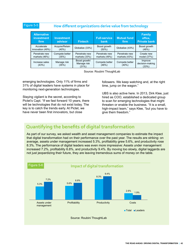#### Figure 5-5 **How different organizations derive value from technology**

| <b>Alternative</b><br><b>investment</b><br>firm | <b>Investment</b><br>advisor | <b>Fintech</b>                        | <b>Full-service</b><br>bank    | <b>Mutual fund</b><br>firm     | <b>Family</b><br>office,<br><b>Private bank</b> |
|-------------------------------------------------|------------------------------|---------------------------------------|--------------------------------|--------------------------------|-------------------------------------------------|
| Accelerate<br>innovation (49%)                  | Acquire/Retain<br>(40%)      | Globalize (33%)                       | Boost growth<br>$(50\%)$       | Globalize (43%)                | Boost growth<br>(48%)                           |
| Penetrate new<br>markets $(46%)$                | Compete better<br>(35%)      | Penetrate new<br>markets $(33%)$      | Penetrate new<br>markets (49%) | Penetrate new<br>markets (43%) | Create new<br>model (37%)                       |
| Increase sales<br>(43%)                         | Manage risk<br>(35%)         | Boost growth/<br>Manage risk<br>(31%) | Compete better<br>(46%)        | Compete better<br>$(40\%)$     | Improve<br>decision-making<br>(33%)             |

Source: Roubini ThoughtLab

emerging technologies. Only 11% of firms and 31% of digital leaders have systems in place for monitoring next-generation technologies.

Staying vigilant is the secret, according to Pictet's Capt. "If we fast forward 10 years, there will be technologies that do not exist today. The key is to catch the trends early. At Pictet, we have never been first innovators, but close

followers. We keep watching and, at the right time, jump on the wagon."

UBS is also active here. In 2013, Dirk Klee, just hired as COO, established a dedicated group to scan for emerging technologies that might threaten or enable the business. "It is a small, high-impact team," says Klee, "but you have to give them freedom."

#### **Quantifying the benefits of digital transformation**

As part of our survey, we asked wealth and asset management companies to estimate the impact that digital transformation had on their performance over the past year. The results are striking: on average, assets under management increased 5.3%, profitability grew 5.6%, and productivity rose 8.3%. The performance of digital leaders was even more impressive: Assets under management increased 7.2%, profitability 6.8%, and productivity 9.4%. By moving too slowly, digital laggards are not just jeopardizing their future, they are leaving tremendous sums of money on the table.

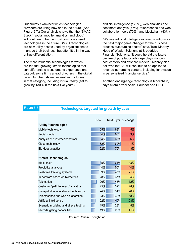Our survey examined which technologies providers are using now and in the future. (See Figure 5-7.) Our analysis shows that the "SMAC Stack" (social, mobile, analytics, and cloud) will continue to be the most commonly used technologies in the future. SMAC technologies are now utility assets used by organizations to manage their business, but offer little in the way of true differentiation.

The more influential technologies to watch are the fast-growing, smart technologies that can differentiate a customer's experience and catapult some firms ahead of others in the digital race. Our chart shows several technologies in that category, including virtual reality (set to grow by 130% in the next five years),

artificial intelligence (123%), web analytics and sentiment analysis (77%), telepresence and web collaboration tools (70%), and blockchain (43%).

"We see artificial intelligence-based solutions as the next major game-changer for the business process outsourcing sector," says Traci Mabrey, Head of Wealth Solutions at Broadridge Financial Solutions. "It could herald the future decline of pure labor arbitrage plays via lowcost centers and offshore models." Mabrey also believes that "AI will continue to be applied to revenue-generating centers, including innovation in personalized financial service."

Another leading-edge technology is blockchain, says eToro's Yoni Assia, Founder and CEO.

#### Figure 5-7 **Technologies targeted for growth by 2021**

|                                      | <b>Now</b> | Next 5 yrs % change |      |
|--------------------------------------|------------|---------------------|------|
| "Utility" technologies               |            |                     |      |
| Mobile technology                    | 65%        | 68%                 | 5%   |
| Social media                         | 64%        | 66%                 | 3%   |
| Analysis of customer behaviors       | 64%        | 68%                 | 6%   |
| Cloud technology                     | 62%        | 69%                 | 11%  |
| Big data anlaytics                   | 62%        | 70%                 | 13%  |
|                                      |            |                     |      |
| "Smart" technologies                 |            |                     |      |
| Blockchain                           | 45%        | 64%                 | 43%  |
| Predictive analytics                 | 44%        | 50%                 | 14%  |
| Real-time tracking systems           | 39%        | 47%                 | 21%  |
| ID software based on biometrics      | 28%        | 37%                 | 34%  |
| <b>Telematics</b>                    | 26%        | 45%                 | 72%  |
| Customer "path to invest" analytics  | 25%        | 32%                 | 28%  |
| Geospatial/location-based technology | 24%        | 31%                 | 26%  |
| Telepresence and web collaboration   | 23%        | 39%                 | 68%  |
| Artificial intelligence              | 22%        | 49%                 | 128% |
| Scenario modeling and stress testing | 19%        | 28%                 | 48%  |
| Micro-targeting capabilities         | 19%        | 26%                 | 41%  |

Source: Roubini ThoughtLab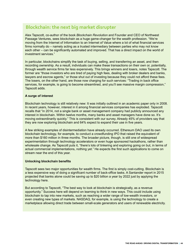### **Blockchain: the next big market disrupter**

Alex Tapscott, co-author of the book *Blockchain Revolution* and Founder and CEO of Northwest Passage Ventures, sees blockchain as a huge game-changer for the wealth profession. "We're moving from the Internet of Information to an Internet of Value where a lot of what financial services firms normally do – namely acting as a trusted intermediary between parties who may not know each other – can be significantly automated and improved. That has a direct impact on the world of investment services."

In particular, blockchains simplify the task of buying, selling, and transferring an asset, and then recording ownership. As a result, individuals can make these transactions on their own or, potentially, through wealth service firms far less expensively. This brings winners and losers, notes Tapscott. The former are "those investors who are tired of paying high fees, dealing with broker dealers and banks, lawyers and escrow agents," or those shut out of investing because they could not afford these fees. The losers, on the other hand, are those now charging for such services: "Trading in back office services, for example, is going to become streamlined, and you'll see massive margin compression," Tapscott adds.

#### **A surge of interest**

Blockchain technology is still relatively new: It was initially outlined in an academic paper only in 2008. In recent years, however, interest in it among financial services companies has exploded. Tapscott recalls that "in 2014, not a single bank or asset management company had publicly announced any interest in blockchain. Within twelve months, many banks and asset managers have done so. It's moving extraordinarily quickly." This is consistent with our survey. Already 45% of providers say that they are now exploring blockchain and 64% expect to expand their use in five years.

A few striking examples of disintermediation have already occurred. Ethereum DAO used its own blockchain technology, for example, to conduct a crowdfunding IPO that raised the equivalent of more than \$160 million in three months. The broader picture, though, is still one of widespread experimentation through technology accelerators or even huge sponsored hackathons, rather than wholesale change. As Tapscott puts it, "there's lots of tinkering and exploring going on but, in terms of actual commercial implementations, nothing yet." He expects the first such applications to come on stream near the end of this year.

#### **Unlocking blockchain benefits**

Tapscott sees two major opportunities for wealth firms. The first is simply cost-cutting. Blockchain is a less expensive way of doing a significant number of back-office tasks. A Santander report in 2015 projected that banks alone could be saving up to \$20 billion a year by 2022 just by applying the technology here.

But according to Tapscott, "The best way to look at blockchain is strategically, as a revenue opportunity." Success here will depend on learning to think in new ways. This could include using blockchain to tap into new markets, such as reaching a wider range of low-wealth investors, or even creating new types of markets. NASDAQ, for example, is using the technology to create a marketplace allowing direct trade between small-scale generators and users of renewable electricity.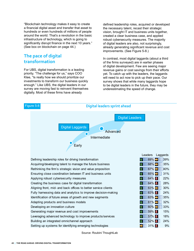"Blockchain technology makes it easy to create a financial digital asset and transfer that asset to hundreds or even hundreds of millions of people around the world. That's a revolution in the basic infrastructure of technology, which is going to significantly disrupt finance in the next 10 years." (See box on blockchain on page 44.)

### **The pace of digital transformation**

For UBS, digital transformation is a leading priority. "The challenge for us," says COO Klee, "Is really how we should prioritize our investments to transform our business quickly enough." Like UBS, the digital leaders in our survey are moving fast to reinvent themselves digitally. Most of these firms have already

defined leadership roles, acquired or developed the necessary talent, recast their strategic vision, brought IT and business units together, created a clear business case, and applied robust cybersecurity measures. The majority of digital leaders are also, not surprisingly, already generating significant revenue and cost improvements. (See Figure 5-8.)

In contrast, most digital laggards (about a third of the firms surveyed) are in earlier phases of digital development. Few are seeing major revenue gains or cost savings from their efforts yet. To catch up with the leaders, the laggards will need to act now to pick up their pace. Our survey shows that while many laggards hope to be digital leaders in the future, they may be underestimating the speed of change.



Source: Roubini ThoughtLab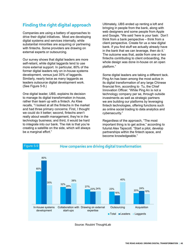### **Finding the right digital approach**

Companies are using a battery of approaches to drive their digital initiatives. Most are developing digital systems and services internally, while substantial minorities are acquiring or partnering with fintechs. Some providers are drawing on external experts or outsourcing.

Our survey shows that digital leaders are more self-reliant, while digital laggards tend to use more external support. In particular, 80% of the former digital leaders rely on in-house systems development, versus just 35% of laggards. Similarly, nearly twice as many laggards as leaders outsource digital development work. (See Figure 5-9.)

One digital leader, UBS, explains its decision to manage its digital transformation in-house, rather than team up with a fintech. As Klee recalls, "I looked at all the fintechs in the market and had three primary concerns: First, I thought we could do it better; second, fintechs aren't really about wealth management, they're in the technology business; and third, it would be hard to integrate into our bank. The risk is that you're creating a satellite on the side, which will always be a marginal effort."

Ultimately, UBS ended up renting a loft and bringing in people from the bank, along with web designers and some people from Apple and Google. "We said 'here is your task: Don't think from a bank perspective – think from a client perspective. Create for us a new digital bank. If you find stuff we actually already have in the bank that we can leverage, then do it.' The outcome was that, aside from one or two fintechs contributing to client onboarding, the whole design was done in-house on an open platform."

Some digital leaders are taking a different tack. Ping An has been among the most active in its digital transformation of any large Chinese financial firm, according to Tu, the Chief Innovation Officer. "While Ping An is not a technology company per se, through outside investments as well as strategic partners we are building our platforms by leveraging fintech technologies, offering functions such as online social trading to data analytics and cybersecurity."

Regardless of the approach, "The most important thing is to get active," according to futurist Alex Tapscott. "Start a pilot, develop partnerships within the fintech space, and become knowledgeable."



Source: Roubini ThoughtLab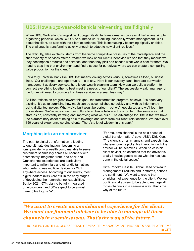### **UBS: How a 150-year-old bank is reinventing itself digitally**

When UBS, Switzerland's largest bank, began its digital transformation process, it had a very simple organizing principle, which COO Klee summed up: "Banking, especially wealth management, is all about the client, so start with the client experience. This is increasingly becoming digitally enabled. The challenge is transforming quickly enough to adapt to new client realities."

The difficulty, Klee explains, stems from the fierce competitive pressures of the marketplace and the sheer variety of services offered. "When we look at our clients' behavior, we see that they modularize, they decompose products and services, and then they pick and choose what works best for them. We need to step into that environment and find a space for ourselves where we can create a compelling value proposition for the client."

For a truly universal bank like UBS that means looking across various, sometimes siloed, business lines. "Our challenge – and opportunity – is to say, 'Here is our custody bank; here are our wealth management advisory services; here is our wealth planning team. How can we build a platform to connect everything together to best meet the needs of our client?' The successful wealth manager of the future will need to provide all of these services in a seamless way."

As Klee reflects on progress toward this goal, the transformation program, he says, "It's been very exciting. It's quite surprising how much can be accomplished so quickly and with so little money using digital technology. What we've built won't be perfect – but we'll get started and we'll learn from our mistakes. We've redesigned our culture to embrace failure in the short term the same way that startups do, constantly iterating and improving what we build. The advantage for UBS is that we have the extraordinary asset of being able to leverage and learn from our client relationships. We have over 150 years of experience serving clients. There's a lot of wisdom in this bank."

#### **Morphing into an omniprovider**

The path to digital transformation is leading to one ultimate destination: becoming an 'omniprovider' – a wealth company able to serve customers seamlessly across all channels with acompletely integrated front- and back-end. Omnichannel experiences are particularly important to millennials and other digital natives, who prefer to use multiple devices for 24/7 anywhere access. According to our survey, most digital leaders (59%) are still in the early stages of developing their omnichannel capabilities. But by 2021, 57% plan to be fully integrated omniproviders, and 30% expect to be almost there. (See Figure 5-10.)

"For me, omnichannel is the next phase of digital transformation," says UBS's Dirk Klee. "The client is on all channels, and expects that whatever one he picks, his interaction with the advisor will be seamless. When he calls his client advisor, he assumes that the advisor is totally knowledgeable about what he has just done in the digital space."

Citi's Rodolfo Castilla, Global Head of Wealth Management Products and Platforms, echoes the sentiment, "We want to create that omnichannel experience for the client. We want our financial advisor to be able to manage all those channels in a seamless way. That's the way of the future."

*"We want to create an omnichannel experience for the client. We want our financial advisor to be able to manage all those channels in a semless way. That's the way of the future."* 

-RODOLFO CASTILLA, GLOBAL HEAD OF WEALTH MANAGEMENT PRODUCTS AND PLATFORMS at CITI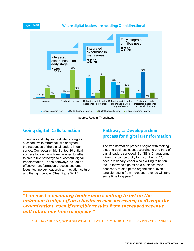



### **Going digital: Calls to action**

To understand why some digital strategies succeed, while others fail, we analyzed the responses of the digital leaders in our survey. Our research highlighted 10 critical success factors, which we grouped together to create five pathways to successful digital transformation. These pathways include an effective transformation process, customer focus, technology leadership, innovation culture, and the right people. (See Figure 5-11.)

#### **Pathway 1: Develop a clear process for digital transformation**

The transformation process begins with making a strong business case, according to one third of digital leaders surveyed. But SEI's Chiaradonna, thinks this can be tricky for incumbents. "You need a visionary leader who's willing to bet on the unknown to sign off on a business case necessary to disrupt the organization, even if tangible results from increased revenue will take some time to appear."

#### *"You need a visionary leader who's willing to bet on the unknown to sign off on a business case necessary to disrupt the organization, even if tangible results from increased revenue will take some time to appear "*

-AL CHIARADONNA, SVP at SEI WEALTH PLATFORM<sup>SM</sup>, NORTH AMERICA PRIVATE BANKING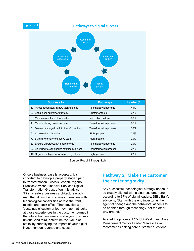

Source: Roubini ThoughtLab

Once a business case is accepted, it is important to develop a properly staged path to transformation. Cisco's Joseph Pagano, Practice Advisor, Financial Services Digital Transformation Group, offers this advice, "First, create a business architecture roadmap that aligns the business imperatives with technological capabilities across the front, middle, and back office. Then develop a 'sustainable' customer journey map that looks at those experiences in the customer journey in the future that continue to make your business unique. And third, determine the 'value at stake' by quantifying the impact of your digital investment on revenue and costs."

### **Pathway 2: Make the customer the center of gravity**

Any successful technological strategy needs to be closely aligned with a clear customer one, according to 37% of digital leaders. SEI's Barr's advice is, "Start with the end investor as the agent of change and the behavioral aspects to be enabled through technology, not the other way around."

To start the process, EY's US Wealth and Asset Management Sector Leader Marcelo Fava recommends asking core customer questions: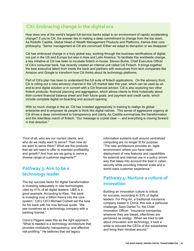### **Citi: Embracing change in the digital era**

How does one of the world's largest full-service banks adapt to an environment of rapidly accelerating change? If you're Citi, the answer lies in making a deep commitment to change from the top down. As Rodolfo Castilla, Global Head of Wealth Management Products and Platforms, frames their core philosophy, "Senior management at Citi are convinced: Either we adapt to disruption or we disappear."

Citi has embraced change in a truly global way, working through the business ramifications of digital, not just in the US and Europe but also in Asia and Latin America. To facilitate this worldwide change, a key initiative at Citi has been to incubate fintech in-house. Steven Burke, Chief Executive Officer of Citi's consumer bank, has recently created an internal unit called Citi Fintech. It brings together the best executive talent from inside the bank and partners with executives from tech companies like Amazon and Google to transform how Citi thinks about its technology platforms.

Part of Citi's plan has been to understand the full suite of fintech applications. On the advisory front, Citi is rolling out a robo-advisory channel in the US market later this year, which can be used as an end-to-end digital solution or in concert with a Citi financial advisor. Citi is also exploring two other fintech products: financial planning and aggregation, which allows clients to think holistically about their current financial balance sheet and their future goals; and payment and credit cards, which include complete digital on-boarding and account opening.

With so much change in the air, Citi has invested aggressively in training to realign its global enterprise and to empower its people to think like digital natives. This sense of aggressive urgency at Citi drives a deep commitment to transparency and clarity. As Castilla summarizes the transformation and the relentless march of fintech, "Our message is crystal clear — and everything is moving forward in that direction."

"First of all, who are our current clients, and who do we really want to serve? Then how do we want to serve them? What are the products that we will need to offer to maintain profitability and growth? And how are we going to serve a diverse range of customer segments?"

#### **Pathway 3: Aim to be a technology leader**

The top success factor for digital transformation is investing adequately in new technologies, cited by 41% of all digital leaders. UBS is a good example. According to Klee, "the bank is investing over a billion francs into the core system." Citi's CEO Michael Corbett set the tone for his bank with his now famous quote: "We see ourselves as a technology company with a banking license."

Cisco's Pagano sees this as the right approach. "What is needed is a technology architecture that provides modularity, transparency, and effective risk-profiling." He believes that old legacy

information systems built around centralized computing are no longer fit for purpose. "The new architecture provides an 'agile environment' where you have rapid deployment of new features and capabilities for external and internal use in a policy driven way that takes into account the best in cybersecurity while providing Internet scale and a world-class customer experience."

#### **Pathway 4: Nurture a culture of innovation**

Building an innovation culture is critical for success, according to 33% of digital leaders. For Ping An, a traditional insurance company based in China, this was a particular challenge. Says Daniel Tu, the Chief Innovation Officer: "Insurance companies, wherever they are based, oftentimes are perceived as stodgy. When we tried to talk about innovation and technology, it took a while to educate the CEOs of the subsidiaries and bring their mindset around."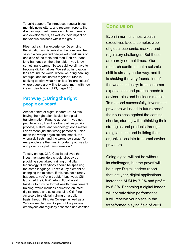To build support, Tu introduced regular blogs, monthly newsletters, and research reports that discuss important themes and fintech trends and developments, as well as their impact on the various business within the group.

Klee had a similar experience. Describing the situation on his arrival at the company, he says, "When you find people with dark suits on one side of the table and then T-shirts, jeans, long-hair guys on the other side – you know something is wrong. So we said we all have to become digital natives. We set up innovation labs around the world, where we bring banking, startups, and incubators together." Klee is seeking to drive what he calls a "failure culture" where people are willing to experiment with new ideas. (See box on UBS, page 47.)

### **Pathway 5: Bring the right people on board**

Almost a third of digital leaders (31%) think having the right talent is vital for digital transformation. Pagano agrees. "If you get people wrong, then the other pathways, like process, culture, and technology, don't matter. I don't mean just the wrong personnel, I also mean the wrong organizational model, the wrong skill sets, and the wrong personae. To me, people are the most important pathway to and pillar of digital transformation."

To stay on top, Citi's Castilla believes that investment providers should already be providing specialized training on digital technology. "Everybody should be speaking the same language. That's a key element of changing the mindset. If this has not already happened, you're in trouble." Last year, Citi launched the Citi Wharton Global Wealth Institute to provide formal wealth management training, which includes education on latest digital trends and solutions. Like Citi, Ping An also offers digital training on a daily basis through Ping An College, as well as a 24/7 online platform. As part of the process, employees are regularly assessed and certified.

### **Conclusion**

Even in normal times, wealth executives face a complex web of global economic, market, and regulatory challenges. But these are hardly normal times. Our research confirms that a seismic shift is already under way, and it is shaking the very foundation of the wealth industry: from customer expectations and product needs to advisor roles and business models. To respond successfully, investment providers will need to future proof their business against the coming shocks, starting with rethinking their strategies and products through a digital prism and building their organizations into true omniservice providers.

Going digital will not be without its challenges, but the payoff will be huge: Digital leaders report that last year, digital applications increased AUM by 7.2% and profits by 6.8%. Becoming a digital leader will not only drive performance, it will reserve your place in the transformed playing field of 2021.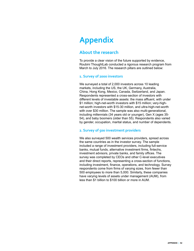# **Appendix**

#### **About the research**

To provide a clear vision of the future supported by evidence, Roubini ThoughtLab conducted a rigorous research program from March to July 2016. The research pillars are outlined below:

#### **1. Survey of 2000 investors**

We surveyed a total of 2,000 investors across 10 leading markets, including the US, the UK, Germany, Australia, China, Hong Kong, Mexico, Canada, Switzerland, and Japan. Respondents represented a cross-section of investors with different levels of investable assets: the mass affluent, with under \$1 million; high-net-worth investors with \$15 million; very-highnet-worth investors with \$15-30 million, and ultra-high-net-worth with over \$30 million. The sample was also multi-generational, including millennials (34 years old or younger), Gen X (ages 35- 54), and baby boomers (older than 55). Respondents also varied by gender, occupation, marital status, and number of dependents.

#### **2. Survey of 500 investment providers**

We also surveyed 500 wealth services providers, spread across the same countries as in the investor survey. The sample included a range of investment providers, including full-service banks, mutual funds, alternative investment firms, fintechs, investment advisors, private banks, and family offices. The survey was completed by CEOs and other C-level executives and their direct reports, representing a cross-section of functions, including investment, finance, operations, and technology. Survey respondents come from firms of varying sizes, from fewer than 500 employees to more than 5,000. Similarly, these companies have varying levels of assets under management (AUM), from less than \$1 billion to \$100 billion or more in AUM.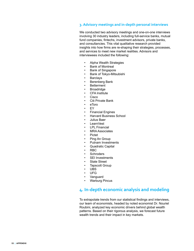#### **3. Advisory meetings and in-depth personal interviews**

We conducted two advisory meetings and one-on-one interviews involving 30 industry leaders, including full-service banks, mutual fund companies, fintechs, investment advisors, private banks, and consultancies. This vital qualitative research provided insights into how firms are re-shaping their strategies, processes, and services to meet new market realities. Advisors and interviewees included the following:

- Alpha Wealth Strategies
- Bank of Montreal
- Bank of Singapore
- Bank of Tokyo-Mitsubishi
- **Barclays**
- Berenberg Bank
- **Betterment**
- **Broadridge**
- CFA Institute
- Cisco
- Citi Private Bank
	- eToro
- EY
- Financial Engines
- Harvard Business School
- Julius Baer
- LearnVest
- **LPL Financial**
- MRA Associates
- Pictet
- Ping An Group
- Putnam Investments
- Quadratic Capital
- RBC
- **Schroders**
- SEI Investments
- State Street
- Tapscott Group
- UBS
- UFG
- Vanguard
- Warburg Pincus

#### **4. In-depth economic analysis and modeling**

To extrapolate trends from our statistical findings and interviews, our team of economists, headed by noted economist Dr. Nouriel Roubini, analyzed key economic drivers behind global wealth patterns. Based on their rigorous analysis, we forecast future wealth trends and their impact in key markets.